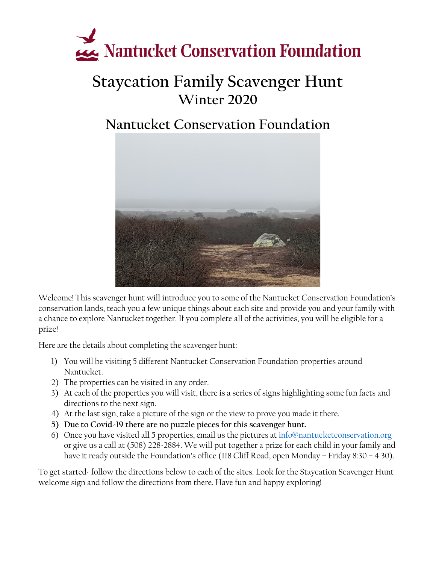

### **Staycation Family Scavenger Hunt Winter 2020**

### **Nantucket Conservation Foundation**



Welcome! This scavenger hunt will introduce you to some of the Nantucket Conservation Foundation's conservation lands, teach you a few unique things about each site and provide you and your family with a chance to explore Nantucket together. If you complete all of the activities, you will be eligible for a prize!

Here are the details about completing the scavenger hunt:

- 1) You will be visiting 5 different Nantucket Conservation Foundation properties around Nantucket.
- 2) The properties can be visited in any order.
- 3) At each of the properties you will visit, there is a series of signs highlighting some fun facts and directions to the next sign.
- 4) At the last sign, take a picture of the sign or the view to prove you made it there.
- **5) Due to Covid-19 there are no puzzle pieces for this scavenger hunt.**
- 6) Once you have visited all 5 properties, email us the pictures a[t info@nantucketconservation.org](mailto:info@nantucketconservation.org) or give us a call at (508) 228-2884. We will put together a prize for each child in your family and have it ready outside the Foundation's office (118 Cliff Road, open Monday – Friday 8:30 – 4:30).

To get started- follow the directions below to each of the sites. Look for the Staycation Scavenger Hunt welcome sign and follow the directions from there. Have fun and happy exploring!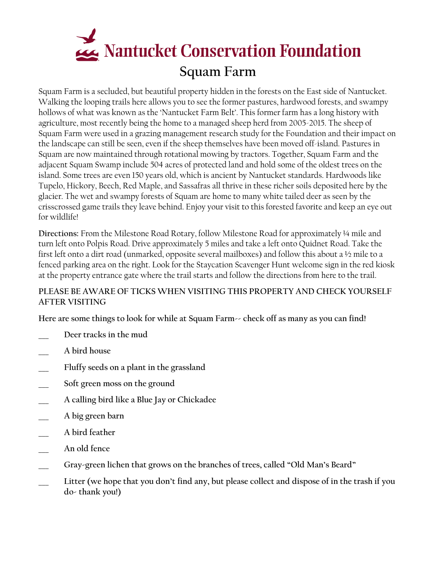

Squam Farm is a secluded, but beautiful property hidden in the forests on the East side of Nantucket. Walking the looping trails here allows you to see the former pastures, hardwood forests, and swampy hollows of what was known as the 'Nantucket Farm Belt'. This former farm has a long history with agriculture, most recently being the home to a managed sheep herd from 2005-2015. The sheep of Squam Farm were used in a grazing management research study for the Foundation and their impact on the landscape can still be seen, even if the sheep themselves have been moved off-island. Pastures in Squam are now maintained through rotational mowing by tractors. Together, Squam Farm and the adjacent Squam Swamp include 504 acres of protected land and hold some of the oldest trees on the island. Some trees are even 150 years old, which is ancient by Nantucket standards. Hardwoods like Tupelo, Hickory, Beech, Red Maple, and Sassafras all thrive in these richer soils deposited here by the glacier. The wet and swampy forests of Squam are home to many white tailed deer as seen by the crisscrossed game trails they leave behind. Enjoy your visit to this forested favorite and keep an eye out for wildlife!

**Directions:** From the Milestone Road Rotary, follow Milestone Road for approximately ¼ mile and turn left onto Polpis Road. Drive approximately 5 miles and take a left onto Quidnet Road. Take the first left onto a dirt road (unmarked, opposite several mailboxes) and follow this about a ½ mile to a fenced parking area on the right. Look for the Staycation Scavenger Hunt welcome sign in the red kiosk at the property entrance gate where the trail starts and follow the directions from here to the trail.

#### **PLEASE BE AWARE OF TICKS WHEN VISITING THIS PROPERTY AND CHECK YOURSELF AFTER VISITING**

**Here are some things to look for while at Squam Farm-- check off as many as you can find!**

- **\_\_\_ Deer tracks in the mud**
- **\_\_\_ A bird house**
- **\_\_\_ Fluffy seeds on a plant in the grassland**
- **\_\_\_ Soft green moss on the ground**
- **\_\_\_ A calling bird like a Blue Jay or Chickadee**
- **\_\_\_ A big green barn**
- **\_\_\_ A bird feather**
- **\_\_\_ An old fence**
- **\_\_\_ Gray-green lichen that grows on the branches of trees, called "Old Man's Beard"**
- **\_\_\_ Litter (we hope that you don't find any, but please collect and dispose of in the trash if you do- thank you!)**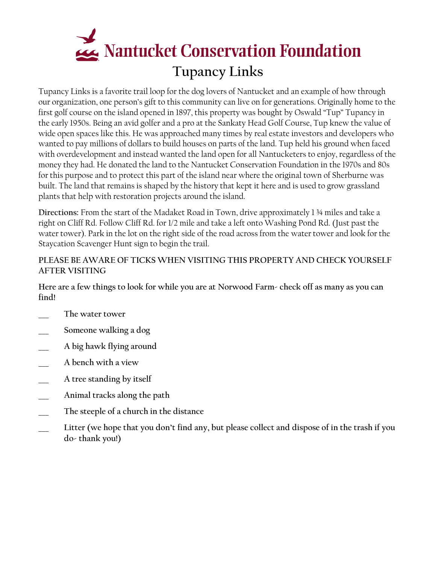

Tupancy Links is a favorite trail loop for the dog lovers of Nantucket and an example of how through our organization, one person's gift to this community can live on for generations. Originally home to the first golf course on the island opened in 1897, this property was bought by Oswald "Tup" Tupancy in the early 1950s. Being an avid golfer and a pro at the Sankaty Head Golf Course, Tup knew the value of wide open spaces like this. He was approached many times by real estate investors and developers who wanted to pay millions of dollars to build houses on parts of the land. Tup held his ground when faced with overdevelopment and instead wanted the land open for all Nantucketers to enjoy, regardless of the money they had. He donated the land to the Nantucket Conservation Foundation in the 1970s and 80s for this purpose and to protect this part of the island near where the original town of Sherburne was built. The land that remains is shaped by the history that kept it here and is used to grow grassland plants that help with restoration projects around the island.

**Directions:** From the start of the Madaket Road in Town, drive approximately 1 ¾ miles and take a right on Cliff Rd. Follow Cliff Rd. for 1/2 mile and take a left onto Washing Pond Rd. (Just past the water tower). Park in the lot on the right side of the road across from the water tower and look for the Staycation Scavenger Hunt sign to begin the trail.

#### **PLEASE BE AWARE OF TICKS WHEN VISITING THIS PROPERTY AND CHECK YOURSELF AFTER VISITING**

**Here are a few things to look for while you are at Norwood Farm- check off as many as you can find!**

- **\_\_\_ The water tower**
- **\_\_\_ Someone walking a dog**
- **\_\_\_ A big hawk flying around**
- **\_\_\_ A bench with a view**
- **\_\_\_ A tree standing by itself**
- **\_\_\_ Animal tracks along the path**
- **\_\_\_ The steeple of a church in the distance**
- **\_\_\_ Litter (we hope that you don't find any, but please collect and dispose of in the trash if you do- thank you!)**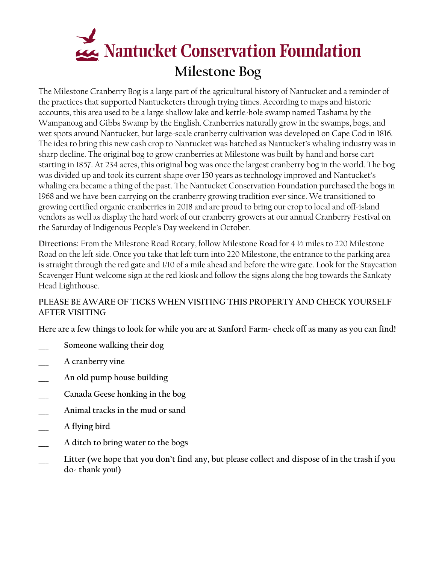

The Milestone Cranberry Bog is a large part of the agricultural history of Nantucket and a reminder of the practices that supported Nantucketers through trying times. According to maps and historic accounts, this area used to be a large shallow lake and kettle-hole swamp named Tashama by the Wampanoag and Gibbs Swamp by the English. Cranberries naturally grow in the swamps, bogs, and wet spots around Nantucket, but large-scale cranberry cultivation was developed on Cape Cod in 1816. The idea to bring this new cash crop to Nantucket was hatched as Nantucket's whaling industry was in sharp decline. The original bog to grow cranberries at Milestone was built by hand and horse cart starting in 1857. At 234 acres, this original bog was once the largest cranberry bog in the world. The bog was divided up and took its current shape over 150 years as technology improved and Nantucket's whaling era became a thing of the past. The Nantucket Conservation Foundation purchased the bogs in 1968 and we have been carrying on the cranberry growing tradition ever since. We transitioned to growing certified organic cranberries in 2018 and are proud to bring our crop to local and off-island vendors as well as display the hard work of our cranberry growers at our annual Cranberry Festival on the Saturday of Indigenous People's Day weekend in October.

**Directions:** From the Milestone Road Rotary, follow Milestone Road for 4 ½ miles to 220 Milestone Road on the left side. Once you take that left turn into 220 Milestone, the entrance to the parking area is straight through the red gate and 1/10 of a mile ahead and before the wire gate. Look for the Staycation Scavenger Hunt welcome sign at the red kiosk and follow the signs along the bog towards the Sankaty Head Lighthouse.

#### **PLEASE BE AWARE OF TICKS WHEN VISITING THIS PROPERTY AND CHECK YOURSELF AFTER VISITING**

**Here are a few things to look for while you are at Sanford Farm- check off as many as you can find!**

- **\_\_\_ Someone walking their dog**
- **\_\_\_ A cranberry vine**
- **\_\_\_ An old pump house building**
- **\_\_\_ Canada Geese honking in the bog**
- **\_\_\_ Animal tracks in the mud or sand**
- **\_\_\_ A flying bird**
- **\_\_\_ A ditch to bring water to the bogs**
- **\_\_\_ Litter (we hope that you don't find any, but please collect and dispose of in the trash if you do- thank you!)**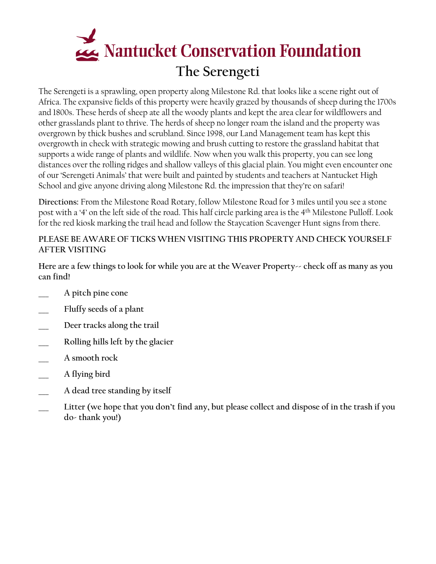

The Serengeti is a sprawling, open property along Milestone Rd. that looks like a scene right out of Africa. The expansive fields of this property were heavily grazed by thousands of sheep during the 1700s and 1800s. These herds of sheep ate all the woody plants and kept the area clear for wildflowers and other grasslands plant to thrive. The herds of sheep no longer roam the island and the property was overgrown by thick bushes and scrubland. Since 1998, our Land Management team has kept this overgrowth in check with strategic mowing and brush cutting to restore the grassland habitat that supports a wide range of plants and wildlife. Now when you walk this property, you can see long distances over the rolling ridges and shallow valleys of this glacial plain. You might even encounter one of our 'Serengeti Animals' that were built and painted by students and teachers at Nantucket High School and give anyone driving along Milestone Rd. the impression that they're on safari!

**Directions:** From the Milestone Road Rotary, follow Milestone Road for 3 miles until you see a stone post with a '4' on the left side of the road. This half circle parking area is the 4th Milestone Pulloff. Look for the red kiosk marking the trail head and follow the Staycation Scavenger Hunt signs from there.

#### **PLEASE BE AWARE OF TICKS WHEN VISITING THIS PROPERTY AND CHECK YOURSELF AFTER VISITING**

**Here are a few things to look for while you are at the Weaver Property-- check off as many as you can find!**

- **\_\_\_ A pitch pine cone**
- **\_\_\_ Fluffy seeds of a plant**
- **\_\_\_ Deer tracks along the trail**
- **\_\_\_ Rolling hills left by the glacier**
- **\_\_\_ A smooth rock**
- **\_\_\_ A flying bird**
- **\_\_\_ A dead tree standing by itself**
- **\_\_\_ Litter (we hope that you don't find any, but please collect and dispose of in the trash if you do- thank you!)**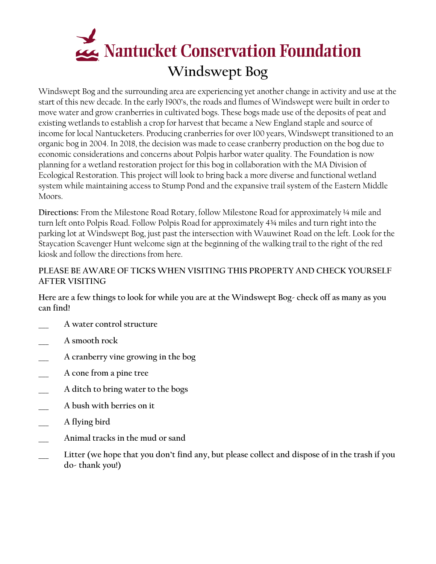## **Windswept Bog**<br>Windswept Bog

Windswept Bog and the surrounding area are experiencing yet another change in activity and use at the start of this new decade. In the early 1900's, the roads and flumes of Windswept were built in order to move water and grow cranberries in cultivated bogs. These bogs made use of the deposits of peat and existing wetlands to establish a crop for harvest that became a New England staple and source of income for local Nantucketers. Producing cranberries for over 100 years, Windswept transitioned to an organic bog in 2004. In 2018, the decision was made to cease cranberry production on the bog due to economic considerations and concerns about Polpis harbor water quality. The Foundation is now planning for a wetland restoration project for this bog in collaboration with the MA Division of Ecological Restoration. This project will look to bring back a more diverse and functional wetland system while maintaining access to Stump Pond and the expansive trail system of the Eastern Middle Moors.

**Directions:** From the Milestone Road Rotary, follow Milestone Road for approximately ¼ mile and turn left onto Polpis Road. Follow Polpis Road for approximately 4¾ miles and turn right into the parking lot at Windswept Bog, just past the intersection with Wauwinet Road on the left. Look for the Staycation Scavenger Hunt welcome sign at the beginning of the walking trail to the right of the red kiosk and follow the directions from here.

#### **PLEASE BE AWARE OF TICKS WHEN VISITING THIS PROPERTY AND CHECK YOURSELF AFTER VISITING**

**Here are a few things to look for while you are at the Windswept Bog- check off as many as you can find!**

- **\_\_\_ A water control structure**
- **\_\_\_ A smooth rock**
- **\_\_\_ A cranberry vine growing in the bog**
- **\_\_\_ A cone from a pine tree**
- **\_\_\_ A ditch to bring water to the bogs**
- **\_\_\_ A bush with berries on it**
- **\_\_\_ A flying bird**
- **\_\_\_ Animal tracks in the mud or sand**
- **\_\_\_ Litter (we hope that you don't find any, but please collect and dispose of in the trash if you do- thank you!)**